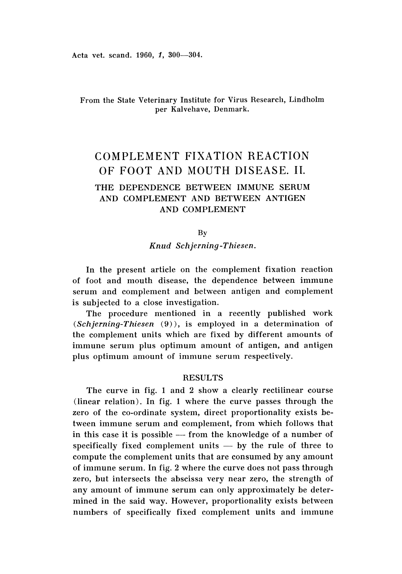# From the State Veterinary Institute for Virus Research, Lindholm per Kalvehave, Denmark.

# COMPLEMENT FIXATION REACTION OF FOOT AND MOUTH DISEASE. **II.**

# THE DEPENDENCE BETWEEN IMMUNE SERUM AND COMPLEMENT AND BETWEEN ANTIGEN AND COMPLEMENT

By

*Knud Schjerning-Thiesen .*

In the present article on the complement fixation reaction of foot and mouth disease, the dependence between immune serum and complement and between antigen and complement is subjected to a close investigation.

The procedure mentioned in a recently published work (Schjerning-Thiesen (9)), is employed in a determination of the complement units which are fixed by different amounts of immune serum plus optimum amount of antigen, and antigen plus optimum amount of immune serum respectively.

## **RESULTS**

The curve in fig. 1 and 2 show a clearly rectilinear course  $(linear relation)$ . In fig. 1 where the curve passes through the zero of the co-ordinate system, direct proportionality exists between immune serum and complement, from which follows that in this case it is possible  $-$  from the knowledge of a number of specifically fixed complement units  $-$  by the rule of three to compute the complement units that are consumed by any amount of immune serum. In fig. 2 where the curve does not pass through zero, but intersects the abscissa very near zero, the strength of any amount of immune serum can only approximately be determined in the said way. However, proportionality exists between numbers of specifically fixed complement units and immune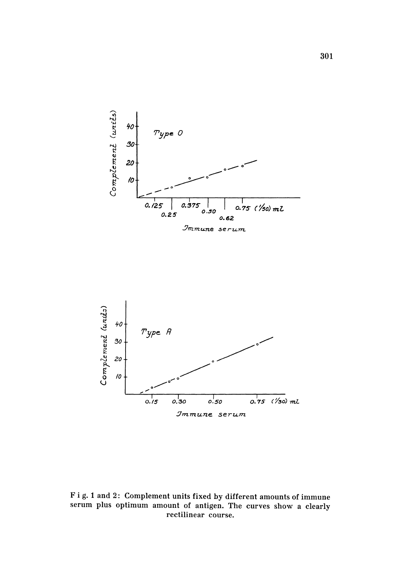



Fig. 1 and 2: Complement units fixed by different amounts of immune serum plus optimum amount of antigen. The curves show a clearly rectilinear course.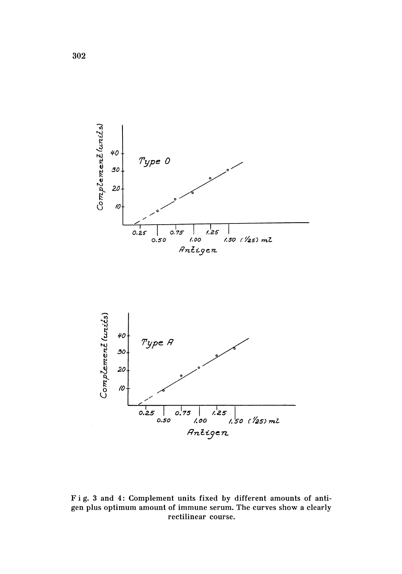



Fig. 3 and 4: Complement units fixed by different amounts of antigen plus optimum amount of immune serum. The curves show a clearly rectilinear course.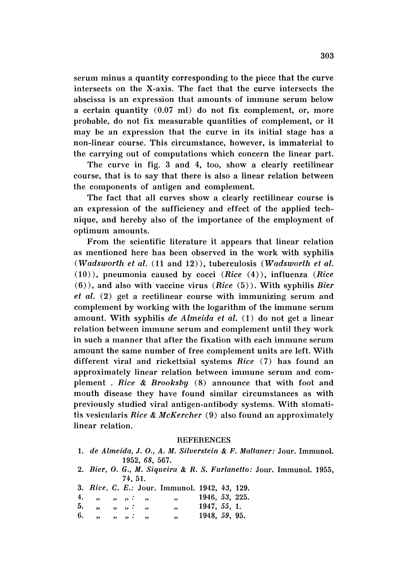serum minus a quantity corresponding to the piece that the curve intersects on the X-axis. The fact that the curve intersects the abscissa is an expression that amounts of immune serum below a certain quantity  $(0.07 \text{ ml})$  do not fix complement, or, more probable, do not fix measurable quantities of complement, or it may be an expression that the curve in its initial stage has a non-linear course. This circumstance, however, is immaterial to the carrying out of computations which concern the linear part.

The curve in fig. 3 and 4, too, show a clearly rectilinear course, that is to say that there is also a linear relation between the components of antigen and complement.

The fact that all curves show a clearly rectilinear course is an expression of the sufficiency and effect of the applied technique, and hereby also of the importance of the employment of optimum amounts.

From the scientific literature it appears that linear relation as mentioned here has been observed in the work with syphilis *(Wadsworth et al.* (11 and 12», tuberculosis *(Wadsworth et al.* (10», pneumonia caused by cocci *(Rice* (4», influenza *(Rice* (6», and also with vaccine virus *(Rice* (5». With syphilis *Bier et al,* (2) get a rectilinear course with immunizing serum and complement by working with the logarithm of the immune serum amount. With syphilis *de A Imelda et al.* (1) do not get a linear relation between immune serum and complement until they work in such a manner that after the fixation with each immune serum amount the same number of free complement units are left. With different viral and rickettsial systems *Rice* (7) has found an approximately linear relation between immune serum and complement . *Rice* & *Brooksby* (8) announce that with foot and mouth disease they have found similar circumstances as with previously studied viral antigen-antibody systems. With stomatitis vesicularis *Rice* & *McKercher* (9) also found an approximately linear relation.

#### **REFERENCES**

- *1. de Almeida,* J. *0 ., A. M. Silverstein* & *F. Maltaner:* Jour. Immunol. 1952, 68, 567.
- 2. *Bier,* O. G., *M. Siqueira* & R. S. Furlanetto: Jour. Immunol. 1955, 74, 51.
- 1942, 43, 129. *3. Rice,* C. *E.:* Jour. Immunol.
- 4. 1946, 53, 225.  $\begin{array}{ll} \ldots, & \ldots, \\ \ldots, & \ldots, \end{array}$  $\ddot{\phantom{a}}$  $,$  $,$ 5. 1947, 55, 1.  $\begin{array}{ccccccccccc}\n m & m & m & i & m & m \\
m & m & m & i & m & m\n\end{array}$ 6.1948, 59, 95.